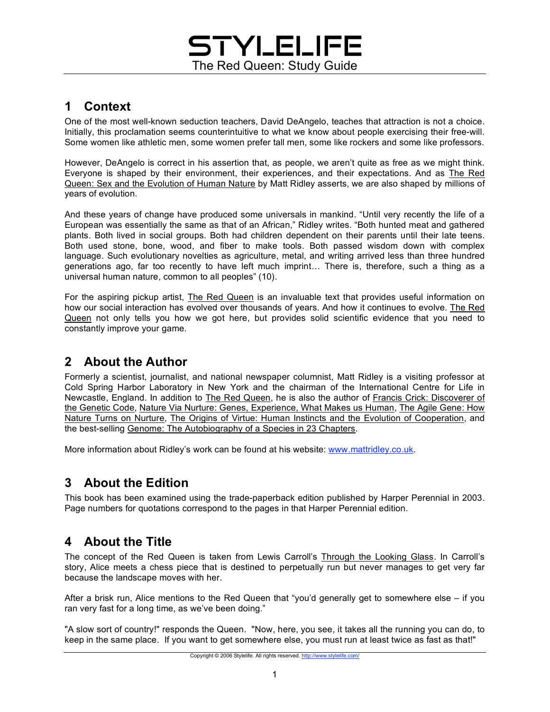### **1 Context**

One of the most well-known seduction teachers, David DeAngelo, teaches that attraction is not a choice. Initially, this proclamation seems counterintuitive to what we know about people exercising their free-will. Some women like athletic men, some women prefer tall men, some like rockers and some like professors.

However, DeAngelo is correct in his assertion that, as people, we aren't quite as free as we might think. Everyone is shaped by their environment, their experiences, and their expectations. And as The Red Queen: Sex and the Evolution of Human Nature by Matt Ridley asserts, we are also shaped by millions of years of evolution.

And these years of change have produced some universals in mankind. "Until very recently the life of a European was essentially the same as that of an African," Ridley writes. "Both hunted meat and gathered plants. Both lived in social groups. Both had children dependent on their parents until their late teens. Both used stone, bone, wood, and fiber to make tools. Both passed wisdom down with complex language. Such evolutionary novelties as agriculture, metal, and writing arrived less than three hundred generations ago, far too recently to have left much imprint… There is, therefore, such a thing as a universal human nature, common to all peoples" (10).

For the aspiring pickup artist, The Red Queen is an invaluable text that provides useful information on how our social interaction has evolved over thousands of years. And how it continues to evolve. The Red Queen not only tells you how we got here, but provides solid scientific evidence that you need to constantly improve your game.

## **2 About the Author**

Formerly a scientist, journalist, and national newspaper columnist, Matt Ridley is a visiting professor at Cold Spring Harbor Laboratory in New York and the chairman of the International Centre for Life in Newcastle, England. In addition to The Red Queen, he is also the author of Francis Crick: Discoverer of the Genetic Code, Nature Via Nurture: Genes, Experience, What Makes us Human, The Agile Gene: How Nature Turns on Nurture, The Origins of Virtue: Human Instincts and the Evolution of Cooperation, and the best-selling Genome: The Autobiography of a Species in 23 Chapters.

More information about Ridley's work can be found at his website: www.mattridley.co.uk.

## **3 About the Edition**

This book has been examined using the trade-paperback edition published by Harper Perennial in 2003. Page numbers for quotations correspond to the pages in that Harper Perennial edition.

### **4 About the Title**

The concept of the Red Queen is taken from Lewis Carroll's Through the Looking Glass. In Carroll's story, Alice meets a chess piece that is destined to perpetually run but never manages to get very far because the landscape moves with her.

After a brisk run, Alice mentions to the Red Queen that "you'd generally get to somewhere else – if you ran very fast for a long time, as we've been doing."

"A slow sort of country!" responds the Queen. "Now, here, you see, it takes all the running you can do, to keep in the same place. If you want to get somewhere else, you must run at least twice as fast as that!"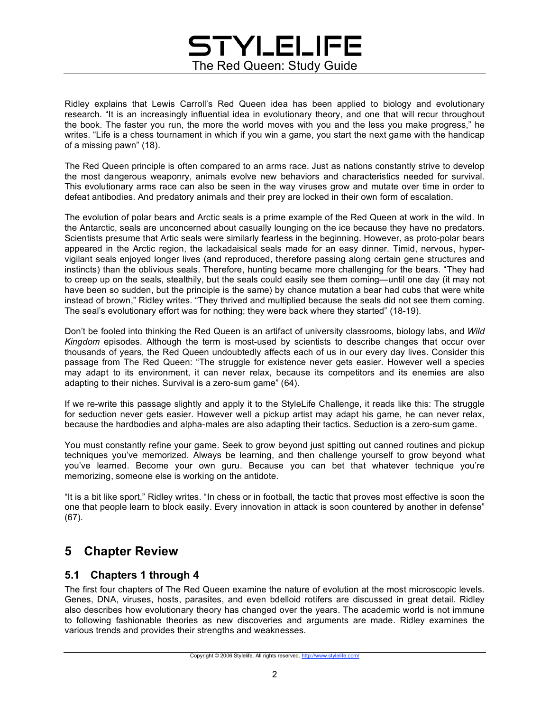Ridley explains that Lewis Carroll's Red Queen idea has been applied to biology and evolutionary research. "It is an increasingly influential idea in evolutionary theory, and one that will recur throughout the book. The faster you run, the more the world moves with you and the less you make progress," he writes. "Life is a chess tournament in which if you win a game, you start the next game with the handicap of a missing pawn" (18).

The Red Queen principle is often compared to an arms race. Just as nations constantly strive to develop the most dangerous weaponry, animals evolve new behaviors and characteristics needed for survival. This evolutionary arms race can also be seen in the way viruses grow and mutate over time in order to defeat antibodies. And predatory animals and their prey are locked in their own form of escalation.

The evolution of polar bears and Arctic seals is a prime example of the Red Queen at work in the wild. In the Antarctic, seals are unconcerned about casually lounging on the ice because they have no predators. Scientists presume that Artic seals were similarly fearless in the beginning. However, as proto-polar bears appeared in the Arctic region, the lackadaisical seals made for an easy dinner. Timid, nervous, hypervigilant seals enjoyed longer lives (and reproduced, therefore passing along certain gene structures and instincts) than the oblivious seals. Therefore, hunting became more challenging for the bears. "They had to creep up on the seals, stealthily, but the seals could easily see them coming—until one day (it may not have been so sudden, but the principle is the same) by chance mutation a bear had cubs that were white instead of brown," Ridley writes. "They thrived and multiplied because the seals did not see them coming. The seal's evolutionary effort was for nothing; they were back where they started" (18-19).

Don't be fooled into thinking the Red Queen is an artifact of university classrooms, biology labs, and *Wild Kingdom* episodes. Although the term is most-used by scientists to describe changes that occur over thousands of years, the Red Queen undoubtedly affects each of us in our every day lives. Consider this passage from The Red Queen: "The struggle for existence never gets easier. However well a species may adapt to its environment, it can never relax, because its competitors and its enemies are also adapting to their niches. Survival is a zero-sum game" (64).

If we re-write this passage slightly and apply it to the StyleLife Challenge, it reads like this: The struggle for seduction never gets easier. However well a pickup artist may adapt his game, he can never relax, because the hardbodies and alpha-males are also adapting their tactics. Seduction is a zero-sum game.

You must constantly refine your game. Seek to grow beyond just spitting out canned routines and pickup techniques you've memorized. Always be learning, and then challenge yourself to grow beyond what you've learned. Become your own guru. Because you can bet that whatever technique you're memorizing, someone else is working on the antidote.

"It is a bit like sport," Ridley writes. "In chess or in football, the tactic that proves most effective is soon the one that people learn to block easily. Every innovation in attack is soon countered by another in defense" (67).

## **5 Chapter Review**

#### **5.1 Chapters 1 through 4**

The first four chapters of The Red Queen examine the nature of evolution at the most microscopic levels. Genes, DNA, viruses, hosts, parasites, and even bdelloid rotifers are discussed in great detail. Ridley also describes how evolutionary theory has changed over the years. The academic world is not immune to following fashionable theories as new discoveries and arguments are made. Ridley examines the various trends and provides their strengths and weaknesses.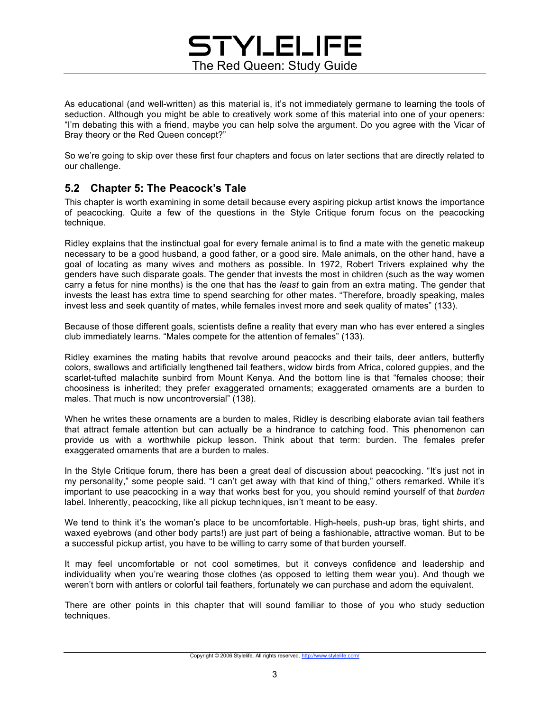As educational (and well-written) as this material is, it's not immediately germane to learning the tools of seduction. Although you might be able to creatively work some of this material into one of your openers: "I'm debating this with a friend, maybe you can help solve the argument. Do you agree with the Vicar of Bray theory or the Red Queen concept?"

So we're going to skip over these first four chapters and focus on later sections that are directly related to our challenge.

#### **5.2 Chapter 5: The Peacock's Tale**

This chapter is worth examining in some detail because every aspiring pickup artist knows the importance of peacocking. Quite a few of the questions in the Style Critique forum focus on the peacocking technique.

Ridley explains that the instinctual goal for every female animal is to find a mate with the genetic makeup necessary to be a good husband, a good father, or a good sire. Male animals, on the other hand, have a goal of locating as many wives and mothers as possible. In 1972, Robert Trivers explained why the genders have such disparate goals. The gender that invests the most in children (such as the way women carry a fetus for nine months) is the one that has the *least* to gain from an extra mating. The gender that invests the least has extra time to spend searching for other mates. "Therefore, broadly speaking, males invest less and seek quantity of mates, while females invest more and seek quality of mates" (133).

Because of those different goals, scientists define a reality that every man who has ever entered a singles club immediately learns. "Males compete for the attention of females" (133).

Ridley examines the mating habits that revolve around peacocks and their tails, deer antlers, butterfly colors, swallows and artificially lengthened tail feathers, widow birds from Africa, colored guppies, and the scarlet-tufted malachite sunbird from Mount Kenya. And the bottom line is that "females choose; their choosiness is inherited; they prefer exaggerated ornaments; exaggerated ornaments are a burden to males. That much is now uncontroversial" (138).

When he writes these ornaments are a burden to males, Ridley is describing elaborate avian tail feathers that attract female attention but can actually be a hindrance to catching food. This phenomenon can provide us with a worthwhile pickup lesson. Think about that term: burden. The females prefer exaggerated ornaments that are a burden to males.

In the Style Critique forum, there has been a great deal of discussion about peacocking. "It's just not in my personality," some people said. "I can't get away with that kind of thing," others remarked. While it's important to use peacocking in a way that works best for you, you should remind yourself of that *burden* label. Inherently, peacocking, like all pickup techniques, isn't meant to be easy.

We tend to think it's the woman's place to be uncomfortable. High-heels, push-up bras, tight shirts, and waxed eyebrows (and other body parts!) are just part of being a fashionable, attractive woman. But to be a successful pickup artist, you have to be willing to carry some of that burden yourself.

It may feel uncomfortable or not cool sometimes, but it conveys confidence and leadership and individuality when you're wearing those clothes (as opposed to letting them wear you). And though we weren't born with antlers or colorful tail feathers, fortunately we can purchase and adorn the equivalent.

There are other points in this chapter that will sound familiar to those of you who study seduction techniques.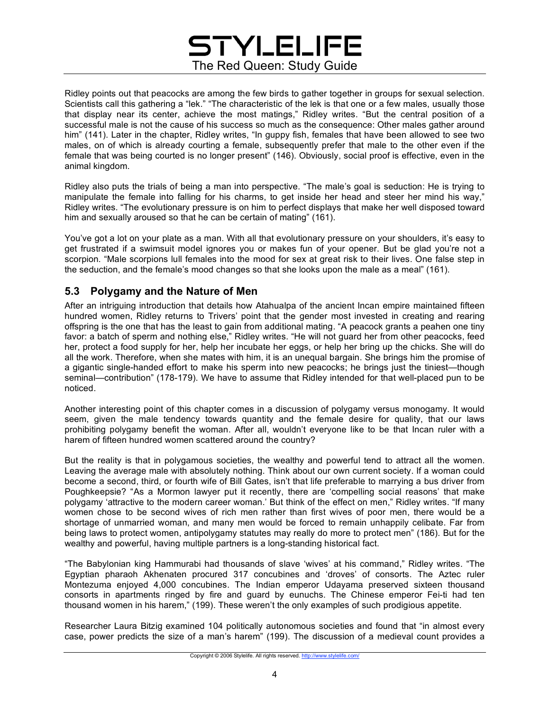Ridley points out that peacocks are among the few birds to gather together in groups for sexual selection. Scientists call this gathering a "lek." "The characteristic of the lek is that one or a few males, usually those that display near its center, achieve the most matings," Ridley writes. "But the central position of a successful male is not the cause of his success so much as the consequence: Other males gather around him" (141). Later in the chapter, Ridley writes, "In guppy fish, females that have been allowed to see two males, on of which is already courting a female, subsequently prefer that male to the other even if the female that was being courted is no longer present" (146). Obviously, social proof is effective, even in the animal kingdom.

Ridley also puts the trials of being a man into perspective. "The male's goal is seduction: He is trying to manipulate the female into falling for his charms, to get inside her head and steer her mind his way," Ridley writes. "The evolutionary pressure is on him to perfect displays that make her well disposed toward him and sexually aroused so that he can be certain of mating" (161).

You've got a lot on your plate as a man. With all that evolutionary pressure on your shoulders, it's easy to get frustrated if a swimsuit model ignores you or makes fun of your opener. But be glad you're not a scorpion. "Male scorpions lull females into the mood for sex at great risk to their lives. One false step in the seduction, and the female's mood changes so that she looks upon the male as a meal" (161).

#### **5.3 Polygamy and the Nature of Men**

After an intriguing introduction that details how Atahualpa of the ancient Incan empire maintained fifteen hundred women, Ridley returns to Trivers' point that the gender most invested in creating and rearing offspring is the one that has the least to gain from additional mating. "A peacock grants a peahen one tiny favor: a batch of sperm and nothing else," Ridley writes. "He will not guard her from other peacocks, feed her, protect a food supply for her, help her incubate her eggs, or help her bring up the chicks. She will do all the work. Therefore, when she mates with him, it is an unequal bargain. She brings him the promise of a gigantic single-handed effort to make his sperm into new peacocks; he brings just the tiniest—though seminal—contribution" (178-179). We have to assume that Ridley intended for that well-placed pun to be noticed.

Another interesting point of this chapter comes in a discussion of polygamy versus monogamy. It would seem, given the male tendency towards quantity and the female desire for quality, that our laws prohibiting polygamy benefit the woman. After all, wouldn't everyone like to be that Incan ruler with a harem of fifteen hundred women scattered around the country?

But the reality is that in polygamous societies, the wealthy and powerful tend to attract all the women. Leaving the average male with absolutely nothing. Think about our own current society. If a woman could become a second, third, or fourth wife of Bill Gates, isn't that life preferable to marrying a bus driver from Poughkeepsie? "As a Mormon lawyer put it recently, there are 'compelling social reasons' that make polygamy 'attractive to the modern career woman.' But think of the effect on men," Ridley writes. "If many women chose to be second wives of rich men rather than first wives of poor men, there would be a shortage of unmarried woman, and many men would be forced to remain unhappily celibate. Far from being laws to protect women, antipolygamy statutes may really do more to protect men" (186). But for the wealthy and powerful, having multiple partners is a long-standing historical fact.

"The Babylonian king Hammurabi had thousands of slave 'wives' at his command," Ridley writes. "The Egyptian pharaoh Akhenaten procured 317 concubines and 'droves' of consorts. The Aztec ruler Montezuma enjoyed 4,000 concubines. The Indian emperor Udayama preserved sixteen thousand consorts in apartments ringed by fire and guard by eunuchs. The Chinese emperor Fei-ti had ten thousand women in his harem," (199). These weren't the only examples of such prodigious appetite.

Researcher Laura Bitzig examined 104 politically autonomous societies and found that "in almost every case, power predicts the size of a man's harem" (199). The discussion of a medieval count provides a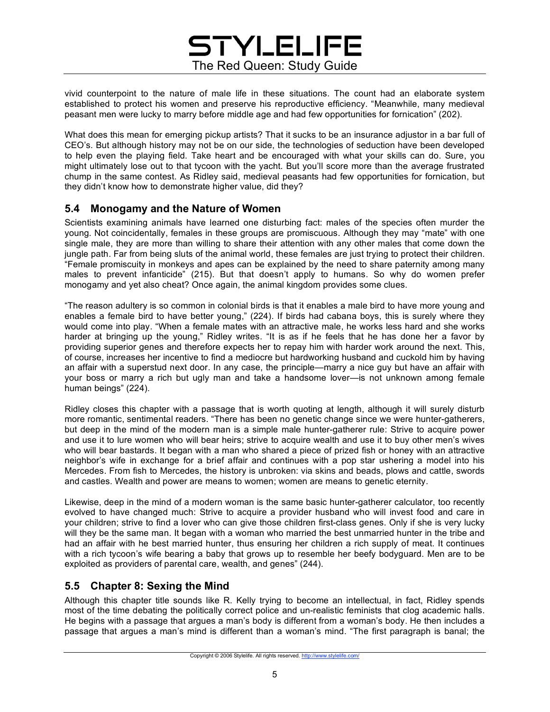vivid counterpoint to the nature of male life in these situations. The count had an elaborate system established to protect his women and preserve his reproductive efficiency. "Meanwhile, many medieval peasant men were lucky to marry before middle age and had few opportunities for fornication" (202).

What does this mean for emerging pickup artists? That it sucks to be an insurance adjustor in a bar full of CEO's. But although history may not be on our side, the technologies of seduction have been developed to help even the playing field. Take heart and be encouraged with what your skills can do. Sure, you might ultimately lose out to that tycoon with the yacht. But you'll score more than the average frustrated chump in the same contest. As Ridley said, medieval peasants had few opportunities for fornication, but they didn't know how to demonstrate higher value, did they?

#### **5.4 Monogamy and the Nature of Women**

Scientists examining animals have learned one disturbing fact: males of the species often murder the young. Not coincidentally, females in these groups are promiscuous. Although they may "mate" with one single male, they are more than willing to share their attention with any other males that come down the jungle path. Far from being sluts of the animal world, these females are just trying to protect their children. "Female promiscuity in monkeys and apes can be explained by the need to share paternity among many males to prevent infanticide" (215). But that doesn't apply to humans. So why do women prefer monogamy and yet also cheat? Once again, the animal kingdom provides some clues.

"The reason adultery is so common in colonial birds is that it enables a male bird to have more young and enables a female bird to have better young," (224). If birds had cabana boys, this is surely where they would come into play. "When a female mates with an attractive male, he works less hard and she works harder at bringing up the young," Ridley writes. "It is as if he feels that he has done her a favor by providing superior genes and therefore expects her to repay him with harder work around the next. This, of course, increases her incentive to find a mediocre but hardworking husband and cuckold him by having an affair with a superstud next door. In any case, the principle—marry a nice guy but have an affair with your boss or marry a rich but ugly man and take a handsome lover—is not unknown among female human beings" (224).

Ridley closes this chapter with a passage that is worth quoting at length, although it will surely disturb more romantic, sentimental readers. "There has been no genetic change since we were hunter-gatherers, but deep in the mind of the modern man is a simple male hunter-gatherer rule: Strive to acquire power and use it to lure women who will bear heirs; strive to acquire wealth and use it to buy other men's wives who will bear bastards. It began with a man who shared a piece of prized fish or honey with an attractive neighbor's wife in exchange for a brief affair and continues with a pop star ushering a model into his Mercedes. From fish to Mercedes, the history is unbroken: via skins and beads, plows and cattle, swords and castles. Wealth and power are means to women; women are means to genetic eternity.

Likewise, deep in the mind of a modern woman is the same basic hunter-gatherer calculator, too recently evolved to have changed much: Strive to acquire a provider husband who will invest food and care in your children; strive to find a lover who can give those children first-class genes. Only if she is very lucky will they be the same man. It began with a woman who married the best unmarried hunter in the tribe and had an affair with he best married hunter, thus ensuring her children a rich supply of meat. It continues with a rich tycoon's wife bearing a baby that grows up to resemble her beefy bodyguard. Men are to be exploited as providers of parental care, wealth, and genes" (244).

### **5.5 Chapter 8: Sexing the Mind**

Although this chapter title sounds like R. Kelly trying to become an intellectual, in fact, Ridley spends most of the time debating the politically correct police and un-realistic feminists that clog academic halls. He begins with a passage that argues a man's body is different from a woman's body. He then includes a passage that argues a man's mind is different than a woman's mind. "The first paragraph is banal; the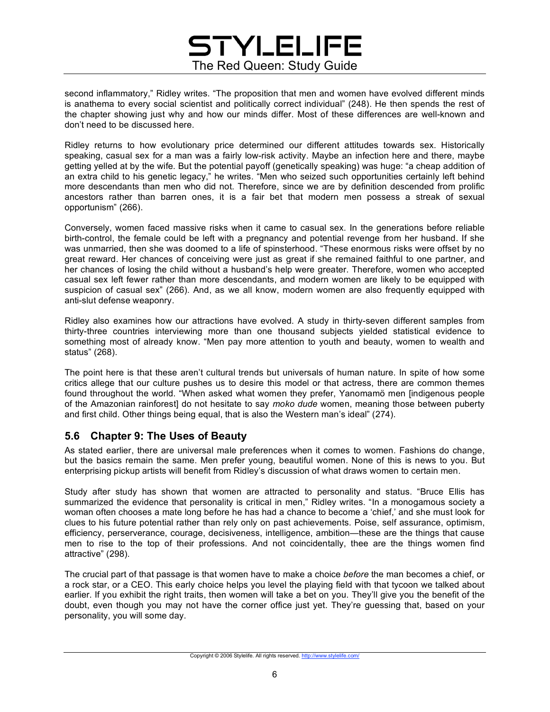second inflammatory," Ridley writes. "The proposition that men and women have evolved different minds is anathema to every social scientist and politically correct individual" (248). He then spends the rest of the chapter showing just why and how our minds differ. Most of these differences are well-known and don't need to be discussed here.

Ridley returns to how evolutionary price determined our different attitudes towards sex. Historically speaking, casual sex for a man was a fairly low-risk activity. Maybe an infection here and there, maybe getting yelled at by the wife. But the potential payoff (genetically speaking) was huge: "a cheap addition of an extra child to his genetic legacy," he writes. "Men who seized such opportunities certainly left behind more descendants than men who did not. Therefore, since we are by definition descended from prolific ancestors rather than barren ones, it is a fair bet that modern men possess a streak of sexual opportunism" (266).

Conversely, women faced massive risks when it came to casual sex. In the generations before reliable birth-control, the female could be left with a pregnancy and potential revenge from her husband. If she was unmarried, then she was doomed to a life of spinsterhood. "These enormous risks were offset by no great reward. Her chances of conceiving were just as great if she remained faithful to one partner, and her chances of losing the child without a husband's help were greater. Therefore, women who accepted casual sex left fewer rather than more descendants, and modern women are likely to be equipped with suspicion of casual sex" (266). And, as we all know, modern women are also frequently equipped with anti-slut defense weaponry.

Ridley also examines how our attractions have evolved. A study in thirty-seven different samples from thirty-three countries interviewing more than one thousand subjects yielded statistical evidence to something most of already know. "Men pay more attention to youth and beauty, women to wealth and status" (268).

The point here is that these aren't cultural trends but universals of human nature. In spite of how some critics allege that our culture pushes us to desire this model or that actress, there are common themes found throughout the world. "When asked what women they prefer, Yanomamö men [indigenous people of the Amazonian rainforest] do not hesitate to say *moko dude* women, meaning those between puberty and first child. Other things being equal, that is also the Western man's ideal" (274).

### **5.6 Chapter 9: The Uses of Beauty**

As stated earlier, there are universal male preferences when it comes to women. Fashions do change, but the basics remain the same. Men prefer young, beautiful women. None of this is news to you. But enterprising pickup artists will benefit from Ridley's discussion of what draws women to certain men.

Study after study has shown that women are attracted to personality and status. "Bruce Ellis has summarized the evidence that personality is critical in men," Ridley writes. "In a monogamous society a woman often chooses a mate long before he has had a chance to become a 'chief,' and she must look for clues to his future potential rather than rely only on past achievements. Poise, self assurance, optimism, efficiency, perserverance, courage, decisiveness, intelligence, ambition—these are the things that cause men to rise to the top of their professions. And not coincidentally, thee are the things women find attractive" (298).

The crucial part of that passage is that women have to make a choice *before* the man becomes a chief, or a rock star, or a CEO. This early choice helps you level the playing field with that tycoon we talked about earlier. If you exhibit the right traits, then women will take a bet on you. They'll give you the benefit of the doubt, even though you may not have the corner office just yet. They're guessing that, based on your personality, you will some day.